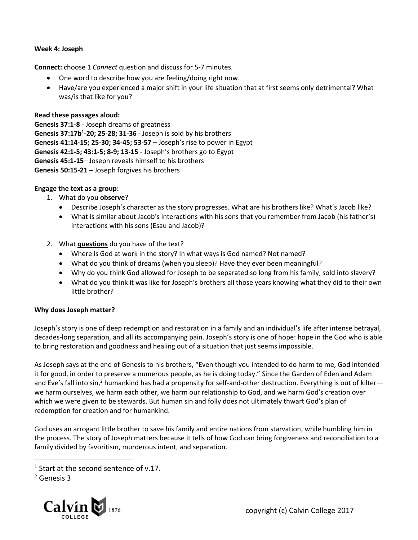# **Week 4: Joseph**

**Connect:** choose 1 *Connect* question and discuss for 5-7 minutes.

- One word to describe how you are feeling/doing right now.
- Have/are you experienced a major shift in your life situation that at first seems only detrimental? What was/is that like for you?

# **Read these passages aloud:**

**Genesis 37:1-8** - Joseph dreams of greatness **Genesis 37:17b<sup>1</sup> -20; 25-28; 31-36** - Joseph is sold by his brothers **Genesis 41:14-15; 25-30; 34-45; 53-57** – Joseph's rise to power in Egypt **Genesis 42:1-5; 43:1-5; 8-9; 13-15** - Joseph's brothers go to Egypt **Genesis 45:1-15**– Joseph reveals himself to his brothers **Genesis 50:15-21** – Joseph forgives his brothers

## **Engage the text as a group:**

- 1. What do you **observe**?
	- Describe Joseph's character as the story progresses. What are his brothers like? What's Jacob like?
	- What is similar about Jacob's interactions with his sons that you remember from Jacob (his father's) interactions with his sons (Esau and Jacob)?
- 2. What **questions** do you have of the text?
	- Where is God at work in the story? In what ways is God named? Not named?
	- What do you think of dreams (when you sleep)? Have they ever been meaningful?
	- Why do you think God allowed for Joseph to be separated so long from his family, sold into slavery?
	- What do you think it was like for Joseph's brothers all those years knowing what they did to their own little brother?

## **Why does Joseph matter?**

Joseph's story is one of deep redemption and restoration in a family and an individual's life after intense betrayal, decades-long separation, and all its accompanying pain. Joseph's story is one of hope: hope in the God who is able to bring restoration and goodness and healing out of a situation that just seems impossible.

As Joseph says at the end of Genesis to his brothers, "Even though you intended to do harm to me, God intended it for good, in order to preserve a numerous people, as he is doing today." Since the Garden of Eden and Adam and Eve's fall into sin,<sup>2</sup> humankind has had a propensity for self-and-other destruction. Everything is out of kilter we harm ourselves, we harm each other, we harm our relationship to God, and we harm God's creation over which we were given to be stewards. But human sin and folly does not ultimately thwart God's plan of redemption for creation and for humankind.

God uses an arrogant little brother to save his family and entire nations from starvation, while humbling him in the process. The story of Joseph matters because it tells of how God can bring forgiveness and reconciliation to a family divided by favoritism, murderous intent, and separation.

 $\overline{a}$ 



 $1$  Start at the second sentence of v.17.

<sup>2</sup> Genesis 3